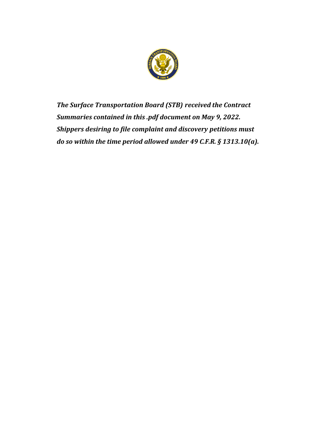

*The Surface Transportation Board (STB) received the Contract Summaries contained in this .pdf document on May 9, 2022. Shippers desiring to file complaint and discovery petitions must do so within the time period allowed under 49 C.F.R. § 1313.10(a).*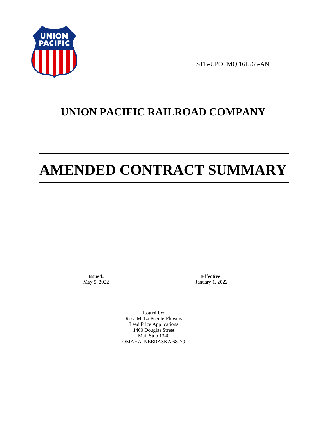

STB-UPOTMQ 161565-AN

# **UNION PACIFIC RAILROAD COMPANY**

# **AMENDED CONTRACT SUMMARY**

**Issued:**  May 5, 2022

**Effective:** January 1, 2022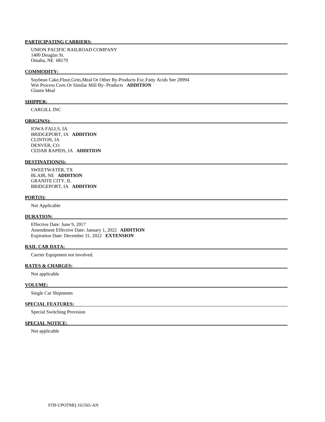UNION PACIFIC RAILROAD COMPANY 1400 Douglas St. Omaha, NE 68179

### **COMMODITY:**

 Soybean Cake,Flour,Grits,Meal Or Other By-Products Exc.Fatty Acids See 28994 Wet Process Corn Or Similar Mill By- Products **ADDITION**  Gluten Meal

# **SHIPPER:**

CARGILL INC

#### **ORIGIN(S):**

 IOWA FALLS, IA BRIDGEPORT, IA **ADDITION**  CLINTON, IA DENVER, CO CEDAR RAPIDS, IA **ADDITION** 

#### **DESTINATION(S):**

 SWEETWATER, TX BLAIR, NE **ADDITION**  GRANITE CITY, IL BRIDGEPORT, IA **ADDITION** 

# **PORT(S):**

Not Applicable

# **DURATION:**

 Effective Date: June 9, 2017 Amendment Effective Date: January 1, 2022 **ADDITION**  Expiration Date: December 31, 2022 **EXTENSION** 

# **RAIL CAR DATA:**

Carrier Equipment not involved.

# **RATES & CHARGES:**

Not applicable

# **VOLUME:**

Single Car Shipments

# **SPECIAL FEATURES:**

Special Switching Provision

# **SPECIAL NOTICE:**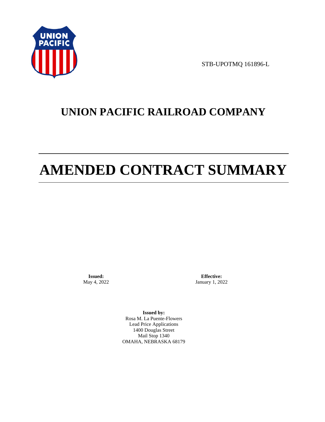

STB-UPOTMQ 161896-L

# **UNION PACIFIC RAILROAD COMPANY**

# **AMENDED CONTRACT SUMMARY**

**Issued:**  May 4, 2022

**Effective:** January 1, 2022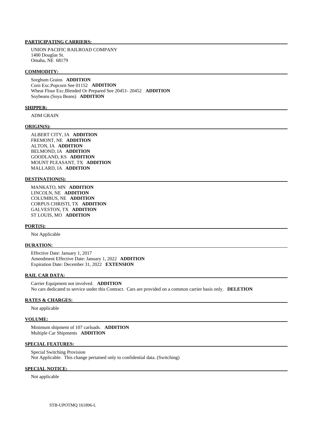UNION PACIFIC RAILROAD COMPANY 1400 Douglas St. Omaha, NE 68179

#### **COMMODITY:**

 Sorghum Grains **ADDITION**  Corn Exc.Popcorn See 01152 **ADDITION**  Wheat Flour Exc.Blended Or Prepared See 20451- 20452 **ADDITION**  Soybeans (Soya Beans) **ADDITION** 

#### **SHIPPER:**

ADM GRAIN

#### **ORIGIN(S):**

 ALBERT CITY, IA **ADDITION**  FREMONT, NE **ADDITION**  ALTON, IA **ADDITION**  BELMOND, IA **ADDITION**  GOODLAND, KS **ADDITION**  MOUNT PLEASANT, TX **ADDITION**  MALLARD, IA **ADDITION** 

# **DESTINATION(S):**

 MANKATO, MN **ADDITION**  LINCOLN, NE **ADDITION**  COLUMBUS, NE **ADDITION**  CORPUS CHRISTI, TX **ADDITION**  GALVESTON, TX **ADDITION**  ST LOUIS, MO **ADDITION** 

#### **PORT(S):**

Not Applicable

#### **DURATION:**

 Effective Date: January 1, 2017 Amendment Effective Date: January 1, 2022 **ADDITION**  Expiration Date: December 31, 2022 **EXTENSION** 

### **RAIL CAR DATA:**

 Carrier Equipment not involved. **ADDITION**  No cars dedicated to service under this Contract. Cars are provided on a common carrier basis only. **DELETION** 

#### **RATES & CHARGES:**

Not applicable

#### **VOLUME:**

 Minimum shipment of 107 carloads. **ADDITION**  Multiple Car Shipments **ADDITION** 

# **SPECIAL FEATURES:**

 Special Switching Provision Not Applicable. This change pertained only to confidential data. (Switching)

#### **SPECIAL NOTICE:**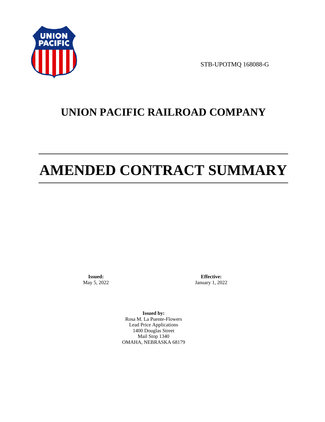

STB-UPOTMQ 168088-G

# **UNION PACIFIC RAILROAD COMPANY**

# **AMENDED CONTRACT SUMMARY**

**Issued:**  May 5, 2022

**Effective:** January 1, 2022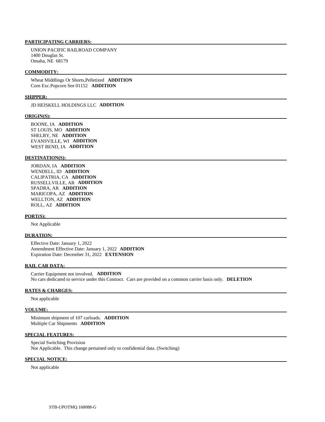UNION PACIFIC RAILROAD COMPANY 1400 Douglas St. Omaha, NE 68179

# **COMMODITY:**

 Wheat Middlings Or Shorts,Pelletized **ADDITION**  Corn Exc.Popcorn See 01152 **ADDITION** 

#### **SHIPPER:**

JD HEISKELL HOLDINGS LLC **ADDITION** 

#### **ORIGIN(S):**

 BOONE, IA **ADDITION**  ST LOUIS, MO **ADDITION**  SHELBY, NE **ADDITION**  EVANSVILLE, WI **ADDITION**  WEST BEND, IA **ADDITION** 

#### **DESTINATION(S):**

 JORDAN, IA **ADDITION**  WENDELL, ID **ADDITION**  CALIPATRIA, CA **ADDITION**  RUSSELLVILLE, AR **ADDITION**  SPADRA, AR **ADDITION**  MARICOPA, AZ **ADDITION**  WELLTON, AZ **ADDITION**  ROLL, AZ **ADDITION** 

#### **PORT(S):**

Not Applicable

# **DURATION:**

 Effective Date: January 1, 2022 Amendment Effective Date: January 1, 2022 **ADDITION**  Expiration Date: December 31, 2022 **EXTENSION** 

#### **RAIL CAR DATA:**

 Carrier Equipment not involved. **ADDITION**  No cars dedicated to service under this Contract. Cars are provided on a common carrier basis only. **DELETION** 

#### **RATES & CHARGES:**

Not applicable

#### **VOLUME:**

 Minimum shipment of 107 carloads. **ADDITION**  Multiple Car Shipments **ADDITION** 

#### **SPECIAL FEATURES:**

 Special Switching Provision Not Applicable. This change pertained only to confidential data. (Switching)

### **SPECIAL NOTICE:**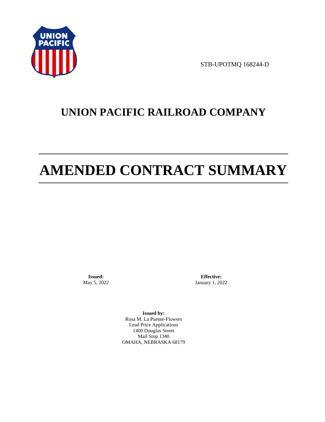

STB-UPOTMQ 168244-D

# **UNION PACIFIC RAILROAD COMPANY**

# **AMENDED CONTRACT SUMMARY**

**Issued:**  May 5, 2022

**Effective:** January 1, 2022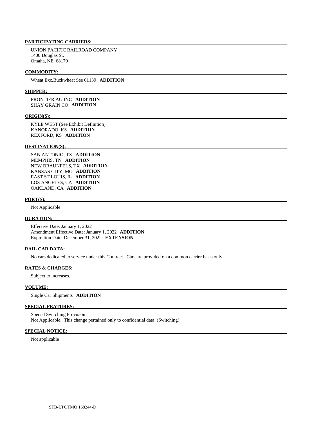UNION PACIFIC RAILROAD COMPANY 1400 Douglas St. Omaha, NE 68179

### **COMMODITY:**

Wheat Exc.Buckwheat See 01139 **ADDITION** 

#### **SHIPPER:**

 FRONTIER AG INC **ADDITION**  SHAY GRAIN CO **ADDITION** 

#### **ORIGIN(S):**

 KYLE WEST (See Exhibit Definition) KANORADO, KS **ADDITION**  REXFORD, KS **ADDITION** 

#### **DESTINATION(S):**

 SAN ANTONIO, TX **ADDITION**  MEMPHIS, TN **ADDITION**  NEW BRAUNFELS, TX **ADDITION**  KANSAS CITY, MO **ADDITION**  EAST ST LOUIS, IL **ADDITION**  LOS ANGELES, CA **ADDITION**  OAKLAND, CA **ADDITION** 

#### **PORT(S):**

Not Applicable

#### **DURATION:**

 Effective Date: January 1, 2022 Amendment Effective Date: January 1, 2022 **ADDITION**  Expiration Date: December 31, 2022 **EXTENSION** 

#### **RAIL CAR DATA:**

No cars dedicated to service under this Contract. Cars are provided on a common carrier basis only.

#### **RATES & CHARGES:**

Subject to increases.

#### **VOLUME:**

Single Car Shipments **ADDITION** 

#### **SPECIAL FEATURES:**

 Special Switching Provision Not Applicable. This change pertained only to confidential data. (Switching)

# **SPECIAL NOTICE:**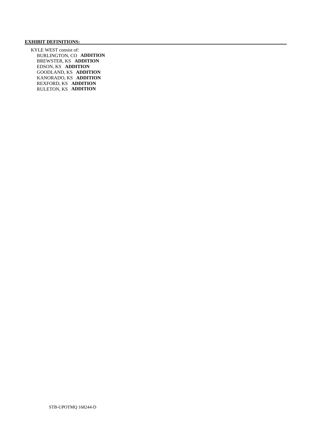# **EXHIBIT DEFINITIONS:**

 KYLE WEST consist of: BURLINGTON, CO **ADDITION**  BREWSTER, KS **ADDITION**  EDSON, KS **ADDITION**  GOODLAND, KS **ADDITION**  KANORADO, KS **ADDITION**  REXFORD, KS **ADDITION**  RULETON, KS **ADDITION**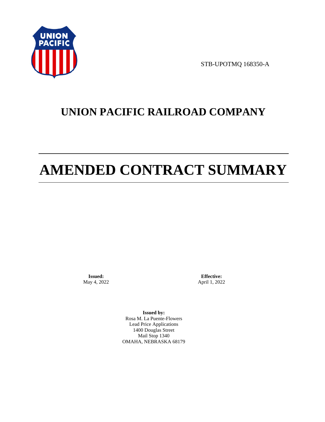

STB-UPOTMQ 168350-A

# **UNION PACIFIC RAILROAD COMPANY**

# **AMENDED CONTRACT SUMMARY**

**Issued:**  May 4, 2022

**Effective:** April 1, 2022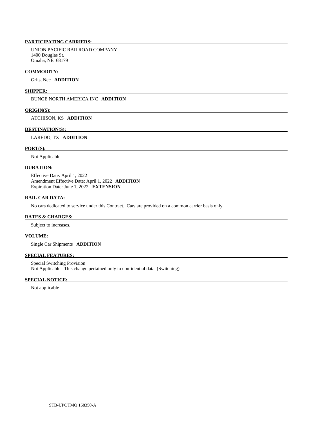UNION PACIFIC RAILROAD COMPANY 1400 Douglas St. Omaha, NE 68179

#### **COMMODITY:**

Grits, Nec **ADDITION** 

# **SHIPPER:**

BUNGE NORTH AMERICA INC **ADDITION** 

#### **ORIGIN(S):**

ATCHISON, KS **ADDITION** 

#### **DESTINATION(S):**

LAREDO, TX **ADDITION** 

# **PORT(S):**

Not Applicable

## **DURATION:**

 Effective Date: April 1, 2022 Amendment Effective Date: April 1, 2022 **ADDITION**  Expiration Date: June 1, 2022 **EXTENSION** 

#### **RAIL CAR DATA:**

No cars dedicated to service under this Contract. Cars are provided on a common carrier basis only.

### **RATES & CHARGES:**

Subject to increases.

#### **VOLUME:**

Single Car Shipments **ADDITION** 

# **SPECIAL FEATURES:**

 Special Switching Provision Not Applicable. This change pertained only to confidential data. (Switching)

#### **SPECIAL NOTICE:**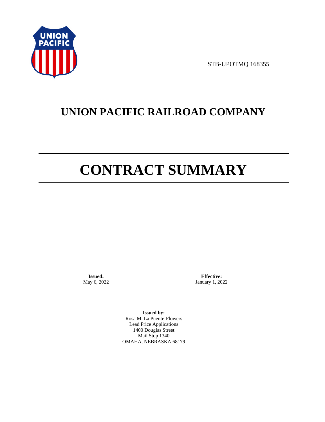

STB-UPOTMQ 168355

# **UNION PACIFIC RAILROAD COMPANY**

# **CONTRACT SUMMARY**

**Issued:**  May 6, 2022

**Effective:** January 1, 2022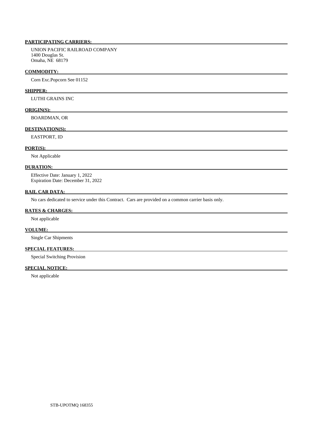UNION PACIFIC RAILROAD COMPANY 1400 Douglas St. Omaha, NE 68179

#### **COMMODITY:**

Corn Exc.Popcorn See 01152

# **SHIPPER:**

LUTHI GRAINS INC

# **ORIGIN(S):**

BOARDMAN, OR

# **DESTINATION(S):**

EASTPORT, ID

# **PORT(S):**

Not Applicable

#### **DURATION:**

 Effective Date: January 1, 2022 Expiration Date: December 31, 2022

# **RAIL CAR DATA:**

No cars dedicated to service under this Contract. Cars are provided on a common carrier basis only.

#### **RATES & CHARGES:**

Not applicable

# **VOLUME:**

Single Car Shipments

# **SPECIAL FEATURES:**

Special Switching Provision

# **SPECIAL NOTICE:**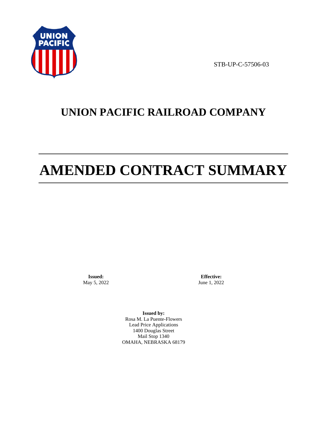

STB-UP-C-57506-03

# **UNION PACIFIC RAILROAD COMPANY**

# **AMENDED CONTRACT SUMMARY**

**Issued:**  May 5, 2022

**Effective:** June 1, 2022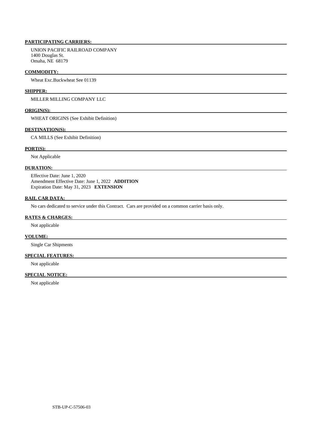UNION PACIFIC RAILROAD COMPANY 1400 Douglas St. Omaha, NE 68179

### **COMMODITY:**

Wheat Exc.Buckwheat See 01139

#### **SHIPPER:**

MILLER MILLING COMPANY LLC

# **ORIGIN(S):**

WHEAT ORIGINS (See Exhibit Definition)

### **DESTINATION(S):**

CA MILLS (See Exhibit Definition)

### **PORT(S):**

Not Applicable

# **DURATION:**

 Effective Date: June 1, 2020 Amendment Effective Date: June 1, 2022 **ADDITION**  Expiration Date: May 31, 2023 **EXTENSION** 

# **RAIL CAR DATA:**

No cars dedicated to service under this Contract. Cars are provided on a common carrier basis only.

### **RATES & CHARGES:**

Not applicable

#### **VOLUME:**

Single Car Shipments

# **SPECIAL FEATURES:**

Not applicable

# **SPECIAL NOTICE:**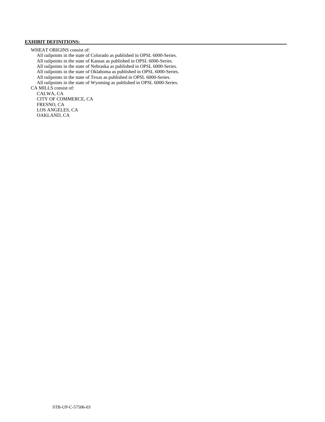# **EXHIBIT DEFINITIONS:**

WHEAT ORIGINS consist of:

 All railpoints in the state of Colorado as published in OPSL 6000-Series. All railpoints in the state of Kansas as published in OPSL 6000-Series. All railpoints in the state of Nebraska as published in OPSL 6000-Series. All railpoints in the state of Oklahoma as published in OPSL 6000-Series. All railpoints in the state of Texas as published in OPSL 6000-Series. All railpoints in the state of Wyoming as published in OPSL 6000-Series. CA MILLS consist of:

 CALWA, CA CITY OF COMMERCE, CA FRESNO, CA LOS ANGELES, CA OAKLAND, CA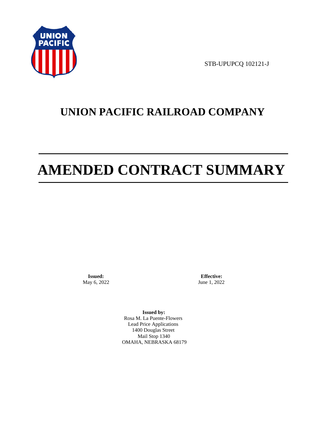

STB-UPUPCQ 102121-J

# **UNION PACIFIC RAILROAD COMPANY**

# **AMENDED CONTRACT SUMMARY**

**Issued:**  May 6, 2022

**Effective:** June 1, 2022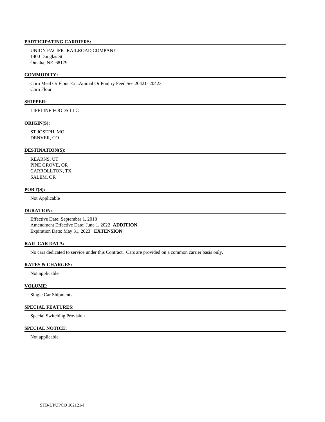UNION PACIFIC RAILROAD COMPANY 1400 Douglas St. Omaha, NE 68179

# **COMMODITY:**

 Corn Meal Or Flour Exc.Animal Or Poultry Feed See 20421- 20423 Corn Flour

# **SHIPPER:**

LIFELINE FOODS LLC

#### **ORIGIN(S):**

 ST JOSEPH, MO DENVER, CO

#### **DESTINATION(S):**

 KEARNS, UT PINE GROVE, OR CARROLLTON, TX SALEM, OR

### **PORT(S):**

Not Applicable

# **DURATION:**

 Effective Date: September 1, 2018 Amendment Effective Date: June 1, 2022 **ADDITION**  Expiration Date: May 31, 2023 **EXTENSION** 

# **RAIL CAR DATA:**

No cars dedicated to service under this Contract. Cars are provided on a common carrier basis only.

# **RATES & CHARGES:**

Not applicable

# **VOLUME:**

Single Car Shipments

## **SPECIAL FEATURES:**

Special Switching Provision

# **SPECIAL NOTICE:**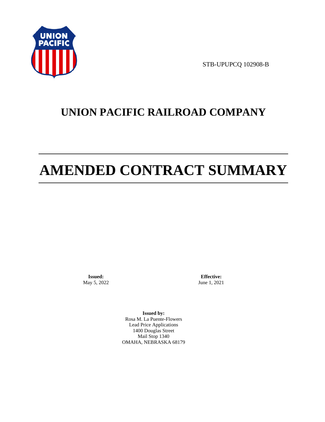

STB-UPUPCQ 102908-B

# **UNION PACIFIC RAILROAD COMPANY**

# **AMENDED CONTRACT SUMMARY**

**Issued:**  May 5, 2022

**Effective:** June 1, 2021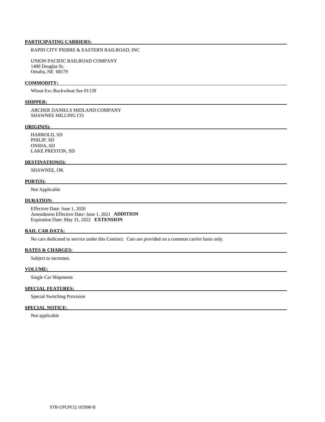# RAPID CITY PIERRE & EASTERN RAILROAD, INC

 UNION PACIFIC RAILROAD COMPANY 1400 Douglas St. Omaha, NE 68179

# **COMMODITY:**

Wheat Exc.Buckwheat See 01139

# **SHIPPER:**

 ARCHER DANIELS MIDLAND COMPANY SHAWNEE MILLING CO

#### **ORIGIN(S):**

 HARROLD, SD PHILIP, SD ONIDA, SD LAKE PRESTON, SD

### **DESTINATION(S):**

SHAWNEE, OK

## **PORT(S):**

Not Applicable

### **DURATION:**

 Effective Date: June 1, 2020 Amendment Effective Date: June 1, 2021 **ADDITION**  Expiration Date: May 31, 2022 **EXTENSION** 

#### **RAIL CAR DATA:**

No cars dedicated to service under this Contract. Cars are provided on a common carrier basis only.

# **RATES & CHARGES:**

Subject to increases.

# **VOLUME:**

Single Car Shipments

# **SPECIAL FEATURES:**

Special Switching Provision

## **SPECIAL NOTICE:**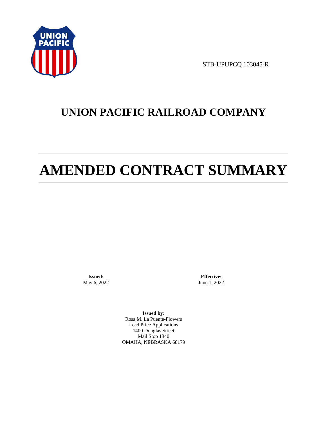

STB-UPUPCQ 103045-R

# **UNION PACIFIC RAILROAD COMPANY**

# **AMENDED CONTRACT SUMMARY**

**Issued:**  May 6, 2022

**Effective:** June 1, 2022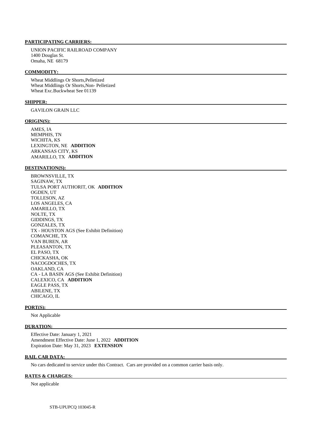UNION PACIFIC RAILROAD COMPANY 1400 Douglas St. Omaha, NE 68179

# **COMMODITY:**

 Wheat Middlings Or Shorts,Pelletized Wheat Middlings Or Shorts,Non- Pelletized Wheat Exc.Buckwheat See 01139

#### **SHIPPER:**

GAVILON GRAIN LLC

#### **ORIGIN(S):**

 AMES, IA MEMPHIS, TN WICHITA, KS LEXINGTON, NE **ADDITION**  ARKANSAS CITY, KS AMARILLO, TX **ADDITION** 

### **DESTINATION(S):**

 BROWNSVILLE, TX SAGINAW, TX TULSA PORT AUTHORIT, OK **ADDITION**  OGDEN, UT TOLLESON, AZ LOS ANGELES, CA AMARILLO, TX NOLTE, TX GIDDINGS, TX GONZALES, TX TX - HOUSTON AGS (See Exhibit Definition) COMANCHE, TX VAN BUREN, AR PLEASANTON, TX EL PASO, TX CHICKASHA, OK NACOGDOCHES, TX OAKLAND, CA CA - LA BASIN AGS (See Exhibit Definition) CALEXICO, CA **ADDITION**  EAGLE PASS, TX ABILENE, TX CHICAGO, IL

#### **PORT(S):**

Not Applicable

# **DURATION:**

 Effective Date: January 1, 2021 Amendment Effective Date: June 1, 2022 **ADDITION**  Expiration Date: May 31, 2023 **EXTENSION** 

#### **RAIL CAR DATA:**

No cars dedicated to service under this Contract. Cars are provided on a common carrier basis only.

## **RATES & CHARGES:**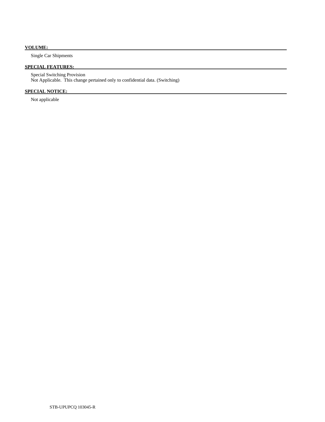# **VOLUME:**

Single Car Shipments

# **SPECIAL FEATURES:**

 Special Switching Provision Not Applicable. This change pertained only to confidential data. (Switching)

# **SPECIAL NOTICE:**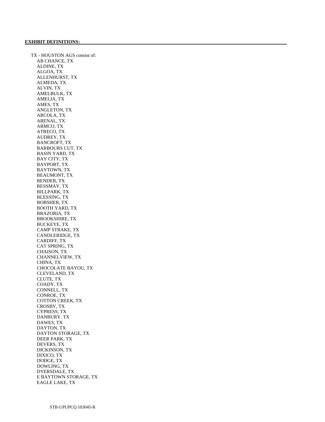TX - HOUSTON AGS consist of: AB CHANCE, TX ALDINE, TX ALGOA, TX ALLENHURST, TX ALMEDA, TX ALVIN, TX AMELBULK, TX AMELIA, TX AMES, TX ANGLETON, TX ARCOLA, TX ARENAL, TX ARMCO, TX ATRECO, TX AUDREY, TX BANCROFT, TX BARBOURS CUT, TX BASIN YARD, TX BAY CITY, TX BAYPORT, TX BAYTOWN, TX BEAUMONT, TX BENDER, TX BESSMAY, TX BILLPARK, TX BLESSING, TX BOBSHER, TX BOOTH YARD, TX BRAZORIA, TX BROOKSHIRE, TX BUCKEYE, TX CAMP STRAKE, TX CANDLERIDGE, TX CARDIFF, TX CAT SPRING, TX CHAISON, TX CHANNELVIEW, TX CHINA, TX CHOCOLATE BAYOU, TX CLEVELAND, TX CLUTE, TX COADY, TX CONNELL, TX CONROE, TX COTTON CREEK, TX CROSBY, TX CYPRESS, TX DANBURY, TX DAWES, TX DAYTON, TX DAYTON STORAGE, TX DEER PARK, TX DEVERS, TX DICKINSON, TX DIXICO, TX DODGE, TX DOWLING, TX DYERSDALE, TX E BAYTOWN STORAGE, TX EAGLE LAKE, TX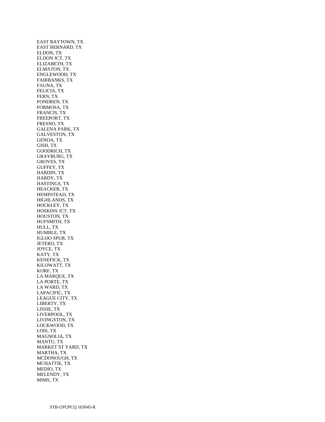EAST BAYTOWN, TX EAST BERNARD, TX ELDON, TX ELDON JCT, TX ELIZABETH, TX ELMATON, TX ENGLEWOOD, TX FAIRBANKS, TX FAUNA, TX FELICIA, TX FERN, TX FONDREN, TX FORMOSA, TX FRANCIS, TX FREEPORT, TX FRESNO, TX GALENA PARK, TX GALVESTON, TX GENOA, TX GISH, TX GOODRICH, TX GRAYBURG, TX GROVES, TX GUFFEY, TX HARDIN, TX HARDY, TX HASTINGS, TX HEACKER, TX HEMPSTEAD, TX HIGHLANDS, TX HOCKLEY, TX HOSKINS JCT, TX HOUSTON, TX HUFSMITH, TX HULL, TX HUMBLE, TX IGLOO SPUR, TX JETERO, TX JOYCE, TX KATY, TX KENEFICK, TX KILOWATT, TX KORF, TX LA MARQUE, TX LA PORTE, TX LA WARD, TX LAPACIFIC, TX LEAGUE CITY, TX LIBERTY, TX LISSIE, TX LIVERPOOL, TX LIVINGSTON, TX LOCKWOOD, TX LOIS, TX MAGNOLIA, TX MANTU, TX MARKET ST YARD, TX MARTHA, TX MCDONOUGH, TX MCHATTIE, TX MEDIO, TX MELENDY, TX MIMS, TX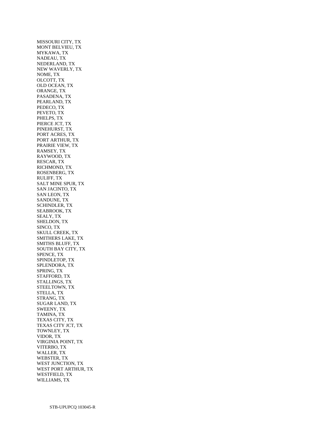MISSOURI CITY, TX MONT BELVIEU, TX MYKAWA, TX NADEAU, TX NEDERLAND, TX NEW WAVERLY, TX NOME, TX OLCOTT, TX OLD OCEAN, TX ORANGE, TX PASADENA, TX PEARLAND, TX PEDECO, TX PEVETO, TX PHELPS, TX PIERCE JCT, TX PINEHURST, TX PORT ACRES, TX PORT ARTHUR, TX PRAIRIE VIEW, TX RAMSEY, TX RAYWOOD, TX RESCAR, TX RICHMOND, TX ROSENBERG, TX RULIFF, TX SALT MINE SPUR, TX SAN JACINTO, TX SAN LEON, TX SANDUNE, TX SCHINDLER, TX SEABROOK, TX SEALY, TX SHELDON, TX SINCO, TX SKULL CREEK, TX SMITHERS LAKE, TX SMITHS BLUFF, TX SOUTH BAY CITY, TX SPENCE, TX SPINDLETOP, TX SPLENDORA, TX SPRING, TX STAFFORD, TX STALLINGS, TX STEELTOWN, TX STELLA, TX STRANG, TX SUGAR LAND, TX SWEENY, TX TAMINA, TX TEXAS CITY, TX TEXAS CITY JCT, TX TOWNLEY, TX VIDOR, TX VIRGINIA POINT, TX VITERBO, TX WALLER, TX WEBSTER, TX WEST JUNCTION, TX WEST PORT ARTHUR, TX WESTFIELD, TX WILLIAMS, TX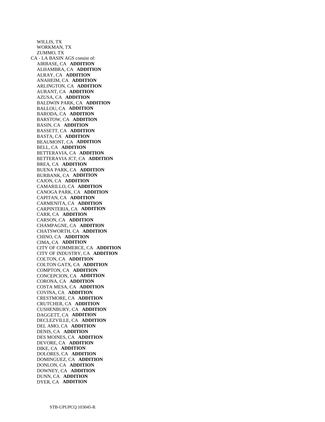WILLIS, TX WORKMAN, TX ZUMMO, TX CA - LA BASIN AGS consist of: AIRBASE, CA **ADDITION**  ALHAMBRA, CA **ADDITION**  ALRAY, CA **ADDITION**  ANAHEIM, CA **ADDITION**  ARLINGTON, CA **ADDITION**  AURANT, CA **ADDITION**  AZUSA, CA **ADDITION**  BALDWIN PARK, CA **ADDITION**  BALLOU, CA **ADDITION**  BARODA, CA **ADDITION**  BARSTOW, CA **ADDITION**  BASIN, CA **ADDITION**  BASSETT, CA **ADDITION**  BASTA, CA **ADDITION**  BEAUMONT, CA **ADDITION**  BELL, CA **ADDITION**  BETTERAVIA, CA **ADDITION**  BETTERAVIA JCT, CA **ADDITION**  BREA, CA **ADDITION**  BUENA PARK, CA **ADDITION**  BURBANK, CA **ADDITION**  CAJON, CA **ADDITION**  CAMARILLO, CA **ADDITION**  CANOGA PARK, CA **ADDITION**  CAPITAN, CA **ADDITION**  CARMENITA, CA **ADDITION**  CARPINTERIA, CA **ADDITION**  CARR, CA **ADDITION**  CARSON, CA **ADDITION**  CHAMPAGNE, CA **ADDITION**  CHATSWORTH, CA **ADDITION**  CHINO, CA **ADDITION**  CIMA, CA **ADDITION**  CITY OF COMMERCE, CA **ADDITION**  CITY OF INDUSTRY, CA **ADDITION**  COLTON, CA **ADDITION**  COLTON GATX, CA **ADDITION**  COMPTON, CA **ADDITION**  CONCEPCION, CA **ADDITION**  CORONA, CA **ADDITION**  COSTA MESA, CA **ADDITION**  COVINA, CA **ADDITION**  CRESTMORE, CA **ADDITION**  CRUTCHER, CA **ADDITION**  CUSHENBURY, CA **ADDITION**  DAGGETT, CA **ADDITION**  DECLEZVILLE, CA **ADDITION**  DEL AMO, CA **ADDITION**  DENIS, CA **ADDITION**  DES MOINES, CA **ADDITION**  DEVORE, CA **ADDITION**  DIKE, CA **ADDITION**  DOLORES, CA **ADDITION**  DOMINGUEZ, CA **ADDITION**  DONLON, CA **ADDITION**  DOWNEY, CA **ADDITION**  DUNN, CA **ADDITION**  DYER, CA **ADDITION**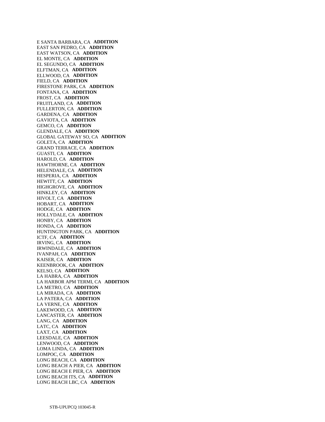E SANTA BARBARA, CA **ADDITION**  EAST SAN PEDRO, CA **ADDITION**  EAST WATSON, CA **ADDITION**  EL MONTE, CA **ADDITION**  EL SEGUNDO, CA **ADDITION**  ELFTMAN, CA **ADDITION**  ELLWOOD, CA **ADDITION**  FIELD, CA **ADDITION**  FIRESTONE PARK, CA **ADDITION**  FONTANA, CA **ADDITION**  FROST, CA **ADDITION**  FRUITLAND, CA **ADDITION**  FULLERTON, CA **ADDITION**  GARDENA, CA **ADDITION**  GAVIOTA, CA **ADDITION**  GEMCO, CA **ADDITION**  GLENDALE, CA **ADDITION**  GLOBAL GATEWAY SO, CA **ADDITION**  GOLETA, CA **ADDITION**  GRAND TERRACE, CA **ADDITION**  GUASTI, CA **ADDITION**  HAROLD, CA **ADDITION**  HAWTHORNE, CA **ADDITION**  HELENDALE, CA **ADDITION**  HESPERIA, CA **ADDITION**  HEWITT, CA **ADDITION**  HIGHGROVE, CA **ADDITION**  HINKLEY, CA **ADDITION**  HIVOLT, CA **ADDITION**  HOBART, CA **ADDITION**  HODGE, CA **ADDITION**  HOLLYDALE, CA **ADDITION**  HONBY, CA **ADDITION**  HONDA, CA **ADDITION**  HUNTINGTON PARK, CA **ADDITION**  ICTF, CA **ADDITION**  IRVING, CA **ADDITION**  IRWINDALE, CA **ADDITION**  IVANPAH, CA **ADDITION**  KAISER, CA **ADDITION**  KEENBROOK, CA **ADDITION**  KELSO, CA **ADDITION**  LA HABRA, CA **ADDITION**  LA HARBOR APM TERMI, CA **ADDITION**  LA METRO, CA **ADDITION**  LA MIRADA, CA **ADDITION**  LA PATERA, CA **ADDITION**  LA VERNE, CA **ADDITION**  LAKEWOOD, CA **ADDITION**  LANCASTER, CA **ADDITION**  LANG, CA **ADDITION**  LATC, CA **ADDITION**  LAXT, CA **ADDITION**  LEESDALE, CA **ADDITION**  LENWOOD, CA **ADDITION**  LOMA LINDA, CA **ADDITION**  LOMPOC, CA **ADDITION**  LONG BEACH, CA **ADDITION**  LONG BEACH A PIER, CA **ADDITION**  LONG BEACH E PIER, CA **ADDITION**  LONG BEACH ITS, CA **ADDITION**  LONG BEACH LBC, CA **ADDITION**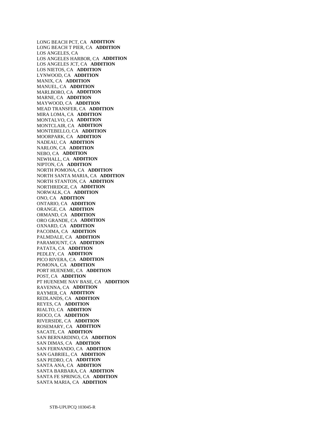LONG BEACH PCT, CA **ADDITION**  LONG BEACH T PIER, CA **ADDITION**  LOS ANGELES, CA LOS ANGELES HARBOR, CA **ADDITION**  LOS ANGELES JCT, CA **ADDITION**  LOS NIETOS, CA **ADDITION**  LYNWOOD, CA **ADDITION**  MANIX, CA **ADDITION**  MANUEL, CA **ADDITION**  MARLBORO, CA **ADDITION**  MARNE, CA **ADDITION**  MAYWOOD, CA **ADDITION**  MEAD TRANSFER, CA **ADDITION**  MIRA LOMA, CA **ADDITION**  MONTALVO, CA **ADDITION**  MONTCLAIR, CA **ADDITION**  MONTEBELLO, CA **ADDITION**  MOORPARK, CA **ADDITION**  NADEAU, CA **ADDITION**  NARLON, CA **ADDITION**  NEBO, CA **ADDITION**  NEWHALL, CA **ADDITION**  NIPTON, CA **ADDITION**  NORTH POMONA, CA **ADDITION**  NORTH SANTA MARIA, CA **ADDITION**  NORTH STANTON, CA **ADDITION**  NORTHRIDGE, CA **ADDITION**  NORWALK, CA **ADDITION**  ONO, CA **ADDITION**  ONTARIO, CA **ADDITION**  ORANGE, CA **ADDITION**  ORMAND, CA **ADDITION**  ORO GRANDE, CA **ADDITION**  OXNARD, CA **ADDITION**  PACOIMA, CA **ADDITION**  PALMDALE, CA **ADDITION**  PARAMOUNT, CA **ADDITION**  PATATA, CA **ADDITION**  PEDLEY, CA **ADDITION**  PICO RIVERA, CA **ADDITION**  POMONA, CA **ADDITION**  PORT HUENEME, CA **ADDITION**  POST, CA **ADDITION**  PT HUENEME NAV BASE, CA **ADDITION**  RAVENNA, CA **ADDITION**  RAYMER, CA **ADDITION**  REDLANDS, CA **ADDITION**  REYES, CA **ADDITION**  RIALTO, CA **ADDITION**  RIOCO, CA **ADDITION**  RIVERSIDE, CA **ADDITION**  ROSEMARY, CA **ADDITION**  SACATE, CA **ADDITION**  SAN BERNARDINO, CA **ADDITION**  SAN DIMAS, CA **ADDITION**  SAN FERNANDO, CA **ADDITION**  SAN GABRIEL, CA **ADDITION**  SAN PEDRO, CA **ADDITION**  SANTA ANA, CA **ADDITION**  SANTA BARBARA, CA **ADDITION**  SANTA FE SPRINGS, CA **ADDITION**  SANTA MARIA, CA **ADDITION**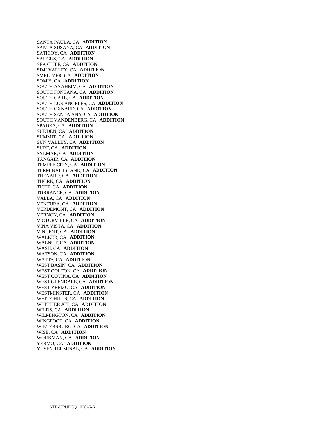SANTA PAULA, CA **ADDITION**  SANTA SUSANA, CA **ADDITION**  SATICOY, CA **ADDITION**  SAUGUS, CA **ADDITION**  SEA CLIFF, CA **ADDITION**  SIMI VALLEY, CA **ADDITION**  SMELTZER, CA **ADDITION**  SOMIS, CA **ADDITION**  SOUTH ANAHEIM, CA **ADDITION**  SOUTH FONTANA, CA **ADDITION**  SOUTH GATE, CA **ADDITION**  SOUTH LOS ANGELES, CA **ADDITION**  SOUTH OXNARD, CA **ADDITION**  SOUTH SANTA ANA, CA **ADDITION**  SOUTH VANDENBERG, CA **ADDITION**  SPADRA, CA **ADDITION**  SUDDEN, CA **ADDITION**  SUMMIT, CA **ADDITION**  SUN VALLEY, CA **ADDITION**  SURF, CA **ADDITION**  SYLMAR, CA **ADDITION**  TANGAIR, CA **ADDITION**  TEMPLE CITY, CA **ADDITION**  TERMINAL ISLAND, CA **ADDITION**  THENARD, CA **ADDITION**  THORN, CA **ADDITION**  TICTF, CA **ADDITION**  TORRANCE, CA **ADDITION**  VALLA, CA **ADDITION**  VENTURA, CA **ADDITION**  VERDEMONT, CA **ADDITION**  VERNON, CA **ADDITION**  VICTORVILLE, CA **ADDITION**  VINA VISTA, CA **ADDITION**  VINCENT, CA **ADDITION**  WALKER, CA **ADDITION**  WALNUT, CA **ADDITION**  WASH, CA **ADDITION**  WATSON, CA **ADDITION**  WATTS, CA **ADDITION**  WEST BASIN, CA **ADDITION**  WEST COLTON, CA **ADDITION**  WEST COVINA, CA **ADDITION**  WEST GLENDALE, CA **ADDITION**  WEST YERMO, CA **ADDITION**  WESTMINSTER, CA **ADDITION**  WHITE HILLS, CA **ADDITION**  WHITTIER JCT, CA **ADDITION**  WILDS, CA **ADDITION**  WILMINGTON, CA **ADDITION**  WINGFOOT, CA **ADDITION**  WINTERSBURG, CA **ADDITION**  WISE, CA **ADDITION**  WORKMAN, CA **ADDITION**  YERMO, CA **ADDITION**  YUSEN TERMINAL, CA **ADDITION**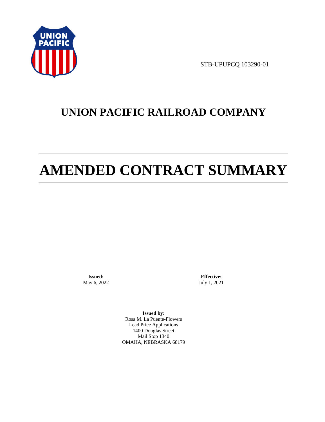

STB-UPUPCQ 103290-01

# **UNION PACIFIC RAILROAD COMPANY**

# **AMENDED CONTRACT SUMMARY**

**Issued:**  May 6, 2022

**Effective:** July 1, 2021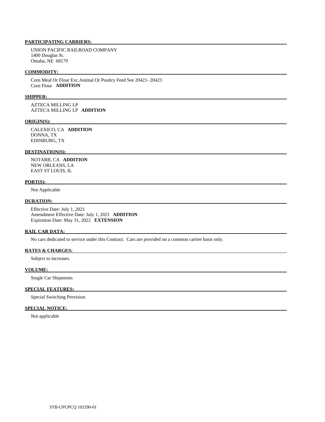UNION PACIFIC RAILROAD COMPANY 1400 Douglas St. Omaha, NE 68179

# **COMMODITY:**

 Corn Meal Or Flour Exc.Animal Or Poultry Feed See 20421- 20423 Corn Flour **ADDITION** 

#### **SHIPPER:**

 AZTECA MILLING LP AZTECA MILLING LP **ADDITION** 

#### **ORIGIN(S):**

 CALEXICO, CA **ADDITION**  DONNA, TX EDINBURG, TX

#### **DESTINATION(S):**

 NOTARB, CA **ADDITION**  NEW ORLEANS, LA EAST ST LOUIS, IL

## **PORT(S):**

Not Applicable

#### **DURATION:**

 Effective Date: July 1, 2021 Amendment Effective Date: July 1, 2021 **ADDITION**  Expiration Date: May 31, 2022 **EXTENSION** 

#### **RAIL CAR DATA:**

No cars dedicated to service under this Contract. Cars are provided on a common carrier basis only.

### **RATES & CHARGES:**

Subject to increases.

### **VOLUME:**

Single Car Shipments

# **SPECIAL FEATURES:**

Special Switching Provision

# **SPECIAL NOTICE:**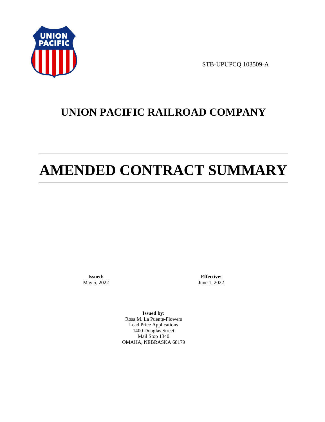

STB-UPUPCQ 103509-A

# **UNION PACIFIC RAILROAD COMPANY**

# **AMENDED CONTRACT SUMMARY**

**Issued:**  May 5, 2022

**Effective:** June 1, 2022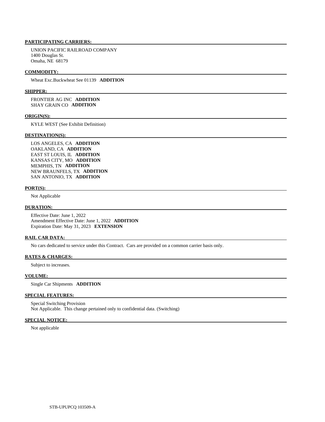UNION PACIFIC RAILROAD COMPANY 1400 Douglas St. Omaha, NE 68179

### **COMMODITY:**

Wheat Exc.Buckwheat See 01139 **ADDITION** 

#### **SHIPPER:**

 FRONTIER AG INC **ADDITION**  SHAY GRAIN CO **ADDITION** 

#### **ORIGIN(S):**

KYLE WEST (See Exhibit Definition)

#### **DESTINATION(S):**

 LOS ANGELES, CA **ADDITION**  OAKLAND, CA **ADDITION**  EAST ST LOUIS, IL **ADDITION**  KANSAS CITY, MO **ADDITION**  MEMPHIS, TN **ADDITION**  NEW BRAUNFELS, TX **ADDITION**  SAN ANTONIO, TX **ADDITION** 

#### **PORT(S):**

Not Applicable

#### **DURATION:**

 Effective Date: June 1, 2022 Amendment Effective Date: June 1, 2022 **ADDITION**  Expiration Date: May 31, 2023 **EXTENSION** 

#### **RAIL CAR DATA:**

No cars dedicated to service under this Contract. Cars are provided on a common carrier basis only.

#### **RATES & CHARGES:**

Subject to increases.

#### **VOLUME:**

Single Car Shipments **ADDITION** 

#### **SPECIAL FEATURES:**

 Special Switching Provision Not Applicable. This change pertained only to confidential data. (Switching)

# **SPECIAL NOTICE:**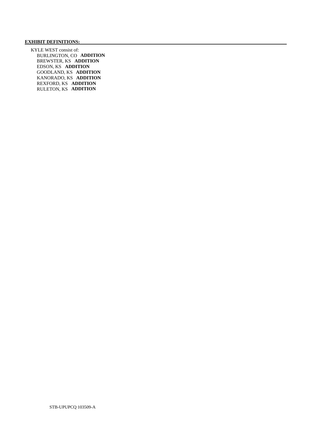# **EXHIBIT DEFINITIONS:**

 KYLE WEST consist of: BURLINGTON, CO **ADDITION**  BREWSTER, KS **ADDITION**  EDSON, KS **ADDITION**  GOODLAND, KS **ADDITION**  KANORADO, KS **ADDITION**  REXFORD, KS **ADDITION**  RULETON, KS **ADDITION**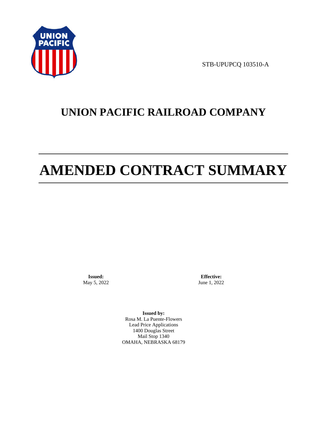

STB-UPUPCQ 103510-A

# **UNION PACIFIC RAILROAD COMPANY**

# **AMENDED CONTRACT SUMMARY**

**Issued:**  May 5, 2022

**Effective:** June 1, 2022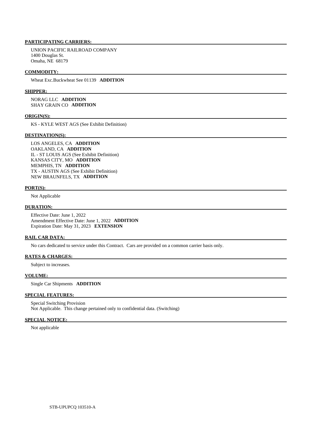UNION PACIFIC RAILROAD COMPANY 1400 Douglas St. Omaha, NE 68179

## **COMMODITY:**

Wheat Exc.Buckwheat See 01139 **ADDITION** 

#### **SHIPPER:**

 NORAG LLC **ADDITION**  SHAY GRAIN CO **ADDITION** 

#### **ORIGIN(S):**

KS - KYLE WEST AGS (See Exhibit Definition)

#### **DESTINATION(S):**

 LOS ANGELES, CA **ADDITION**  OAKLAND, CA **ADDITION**  IL - ST LOUIS AGS (See Exhibit Definition) KANSAS CITY, MO **ADDITION**  MEMPHIS, TN **ADDITION**  TX - AUSTIN AGS (See Exhibit Definition) NEW BRAUNFELS, TX **ADDITION** 

#### **PORT(S):**

Not Applicable

# **DURATION:**

 Effective Date: June 1, 2022 Amendment Effective Date: June 1, 2022 **ADDITION**  Expiration Date: May 31, 2023 **EXTENSION** 

#### **RAIL CAR DATA:**

No cars dedicated to service under this Contract. Cars are provided on a common carrier basis only.

# **RATES & CHARGES:**

Subject to increases.

#### **VOLUME:**

Single Car Shipments **ADDITION** 

#### **SPECIAL FEATURES:**

 Special Switching Provision Not Applicable. This change pertained only to confidential data. (Switching)

# **SPECIAL NOTICE:**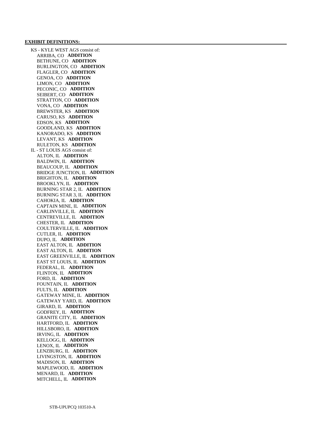#### **EXHIBIT DEFINITIONS:**

 KS - KYLE WEST AGS consist of: ARRIBA, CO **ADDITION**  BETHUNE, CO **ADDITION**  BURLINGTON, CO **ADDITION**  FLAGLER, CO **ADDITION**  GENOA, CO **ADDITION**  LIMON, CO **ADDITION**  PECONIC, CO **ADDITION**  SEIBERT, CO **ADDITION**  STRATTON, CO **ADDITION**  VONA, CO **ADDITION**  BREWSTER, KS **ADDITION**  CARUSO, KS **ADDITION**  EDSON, KS **ADDITION**  GOODLAND, KS **ADDITION**  KANORADO, KS **ADDITION**  LEVANT, KS **ADDITION**  RULETON, KS **ADDITION**  IL - ST LOUIS AGS consist of: ALTON, IL **ADDITION**  BALDWIN, IL **ADDITION**  BEAUCOUP, IL **ADDITION**  BRIDGE JUNCTION, IL **ADDITION**  BRIGHTON, IL **ADDITION**  BROOKLYN, IL **ADDITION**  BURNING STAR 2, IL **ADDITION**  BURNING STAR 3, IL **ADDITION**  CAHOKIA, IL **ADDITION**  CAPTAIN MINE, IL **ADDITION**  CARLINVILLE, IL **ADDITION**  CENTREVILLE, IL **ADDITION**  CHESTER, IL **ADDITION**  COULTERVILLE, IL **ADDITION**  CUTLER, IL **ADDITION**  DUPO, IL **ADDITION**  EAST ALTON, IL **ADDITION**  EAST ALTON, IL **ADDITION**  EAST GREENVILLE, IL **ADDITION**  EAST ST LOUIS, IL **ADDITION**  FEDERAL, IL **ADDITION**  FLINTON, IL **ADDITION**  FORD, IL **ADDITION**  FOUNTAIN, IL **ADDITION**  FULTS, IL **ADDITION**  GATEWAY MINE, IL **ADDITION**  GATEWAY YARD, IL **ADDITION**  GIRARD, IL **ADDITION**  GODFREY, IL **ADDITION**  GRANITE CITY, IL **ADDITION**  HARTFORD, IL **ADDITION**  HILLSBORO, IL **ADDITION**  IRVING, IL **ADDITION**  KELLOGG, IL **ADDITION**  LENOX, IL **ADDITION**  LENZBURG, IL **ADDITION**  LIVINGSTON, IL **ADDITION**  MADISON, IL **ADDITION**  MAPLEWOOD, IL **ADDITION**  MENARD, IL **ADDITION**  MITCHELL, IL **ADDITION**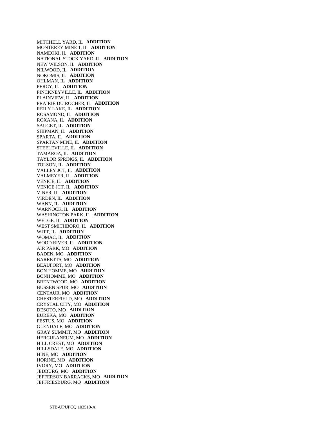MITCHELL YARD, IL **ADDITION**  MONTEREY MINE 1, IL **ADDITION**  NAMEOKI, IL **ADDITION**  NATIONAL STOCK YARD, IL **ADDITION**  NEW WILSON, IL **ADDITION**  NILWOOD, IL **ADDITION**  NOKOMIS, IL **ADDITION**  OHLMAN, IL **ADDITION**  PERCY, IL **ADDITION**  PINCKNEYVILLE, IL **ADDITION**  PLAINVIEW, IL **ADDITION**  PRAIRIE DU ROCHER, IL **ADDITION**  REILY LAKE, IL **ADDITION**  ROSAMOND, IL **ADDITION**  ROXANA, IL **ADDITION**  SAUGET, IL **ADDITION**  SHIPMAN, IL **ADDITION**  SPARTA, IL **ADDITION**  SPARTAN MINE, IL **ADDITION**  STEELEVILLE, IL **ADDITION**  TAMAROA, IL **ADDITION**  TAYLOR SPRINGS, IL **ADDITION**  TOLSON, IL **ADDITION**  VALLEY JCT, IL **ADDITION**  VALMEYER, IL **ADDITION**  VENICE, IL **ADDITION**  VENICE JCT, IL **ADDITION**  VINER, IL **ADDITION**  VIRDEN, IL **ADDITION**  WANN, IL **ADDITION**  WARNOCK, IL **ADDITION**  WASHINGTON PARK, IL **ADDITION**  WELGE, IL **ADDITION**  WEST SMITHBORO, IL **ADDITION**  WITT, IL **ADDITION**  WOMAC, IL **ADDITION**  WOOD RIVER, IL **ADDITION**  AIR PARK, MO **ADDITION**  BADEN, MO **ADDITION**  BARRETTS, MO **ADDITION**  BEAUFORT, MO **ADDITION**  BON HOMME, MO **ADDITION**  BONHOMME, MO **ADDITION**  BRENTWOOD, MO **ADDITION**  BUSSEN SPUR, MO **ADDITION**  CENTAUR, MO **ADDITION**  CHESTERFIELD, MO **ADDITION**  CRYSTAL CITY, MO **ADDITION**  DESOTO, MO **ADDITION**  EUREKA, MO **ADDITION**  FESTUS, MO **ADDITION**  GLENDALE, MO **ADDITION**  GRAY SUMMIT, MO **ADDITION**  HERCULANEUM, MO **ADDITION**  HILL CREST, MO **ADDITION**  HILLSDALE, MO **ADDITION**  HINE, MO **ADDITION**  HORINE, MO **ADDITION**  IVORY, MO **ADDITION**  JEDBURG, MO **ADDITION**  JEFFERSON BARRACKS, MO **ADDITION**  JEFFRIESBURG, MO **ADDITION**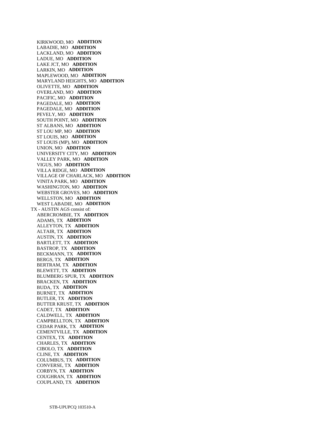KIRKWOOD, MO **ADDITION**  LABADIE, MO **ADDITION**  LACKLAND, MO **ADDITION**  LADUE, MO **ADDITION**  LAKE JCT, MO **ADDITION**  LARKIN, MO **ADDITION**  MAPLEWOOD, MO **ADDITION**  MARYLAND HEIGHTS, MO **ADDITION**  OLIVETTE, MO **ADDITION**  OVERLAND, MO **ADDITION**  PACIFIC, MO **ADDITION**  PAGEDALE, MO **ADDITION**  PAGEDALE, MO **ADDITION**  PEVELY, MO **ADDITION**  SOUTH POINT, MO **ADDITION**  ST ALBANS, MO **ADDITION**  ST LOU MP, MO **ADDITION**  ST LOUIS, MO **ADDITION**  ST LOUIS (MP), MO **ADDITION**  UNION, MO **ADDITION**  UNIVERSITY CITY, MO **ADDITION**  VALLEY PARK, MO **ADDITION**  VIGUS, MO **ADDITION**  VILLA RIDGE, MO **ADDITION**  VILLAGE OF CHARLACK, MO **ADDITION**  VINITA PARK, MO **ADDITION**  WASHINGTON, MO **ADDITION**  WEBSTER GROVES, MO **ADDITION**  WELLSTON, MO **ADDITION**  WEST LABADIE, MO **ADDITION**  TX - AUSTIN AGS consist of: ABERCROMBIE, TX **ADDITION**  ADAMS, TX **ADDITION**  ALLEYTON, TX **ADDITION**  ALTAIR, TX **ADDITION**  AUSTIN, TX **ADDITION**  BARTLETT, TX **ADDITION**  BASTROP, TX **ADDITION**  BECKMANN, TX **ADDITION**  BERGS, TX **ADDITION**  BERTRAM, TX **ADDITION**  BLEWETT, TX **ADDITION**  BLUMBERG SPUR, TX **ADDITION**  BRACKEN, TX **ADDITION**  BUDA, TX **ADDITION**  BURNET, TX **ADDITION**  BUTLER, TX **ADDITION**  BUTTER KRUST, TX **ADDITION**  CADET, TX **ADDITION**  CALDWELL, TX **ADDITION**  CAMPBELLTON, TX **ADDITION**  CEDAR PARK, TX **ADDITION**  CEMENTVILLE, TX **ADDITION**  CENTEX, TX **ADDITION**  CHARLES, TX **ADDITION**  CIBOLO, TX **ADDITION**  CLINE, TX **ADDITION**  COLUMBUS, TX **ADDITION**  CONVERSE, TX **ADDITION**  CORBYN, TX **ADDITION**  COUGHRAN, TX **ADDITION**  COUPLAND, TX **ADDITION**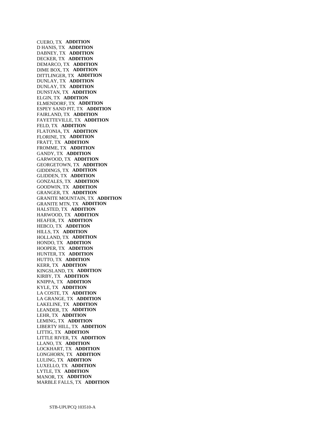CUERO, TX **ADDITION**  D HANIS, TX **ADDITION**  DABNEY, TX **ADDITION**  DECKER, TX **ADDITION**  DEMARCO, TX **ADDITION**  DIME BOX, TX **ADDITION**  DITTLINGER, TX **ADDITION**  DUNLAY, TX **ADDITION**  DUNLAY, TX **ADDITION**  DUNSTAN, TX **ADDITION**  ELGIN, TX **ADDITION**  ELMENDORF, TX **ADDITION**  ESPEY SAND PIT, TX **ADDITION**  FAIRLAND, TX **ADDITION**  FAYETTEVILLE, TX **ADDITION**  FELD, TX **ADDITION**  FLATONIA, TX **ADDITION**  FLORINE, TX **ADDITION**  FRATT, TX **ADDITION**  FROMME, TX **ADDITION**  GANDY, TX **ADDITION**  GARWOOD, TX **ADDITION**  GEORGETOWN, TX **ADDITION**  GIDDINGS, TX **ADDITION**  GLIDDEN, TX **ADDITION**  GONZALES, TX **ADDITION**  GOODWIN, TX **ADDITION**  GRANGER, TX **ADDITION**  GRANITE MOUNTAIN, TX **ADDITION**  GRANITE MTN, TX **ADDITION**  HALSTED, TX **ADDITION**  HARWOOD, TX **ADDITION**  HEAFER, TX **ADDITION**  HEBCO, TX **ADDITION**  HILLS, TX **ADDITION**  HOLLAND, TX **ADDITION**  HONDO, TX **ADDITION**  HOOPER, TX **ADDITION**  HUNTER, TX **ADDITION**  HUTTO, TX **ADDITION**  KERR, TX **ADDITION**  KINGSLAND, TX **ADDITION**  KIRBY, TX **ADDITION**  KNIPPA, TX **ADDITION**  KYLE, TX **ADDITION**  LA COSTE, TX **ADDITION**  LA GRANGE, TX **ADDITION**  LAKELINE, TX **ADDITION**  LEANDER, TX **ADDITION**  LEHR, TX **ADDITION**  LEMING, TX **ADDITION**  LIBERTY HILL, TX **ADDITION**  LITTIG, TX **ADDITION**  LITTLE RIVER, TX **ADDITION**  LLANO, TX **ADDITION**  LOCKHART, TX **ADDITION**  LONGHORN, TX **ADDITION**  LULING, TX **ADDITION**  LUXELLO, TX **ADDITION**  LYTLE, TX **ADDITION**  MANOR, TX **ADDITION**  MARBLE FALLS, TX **ADDITION**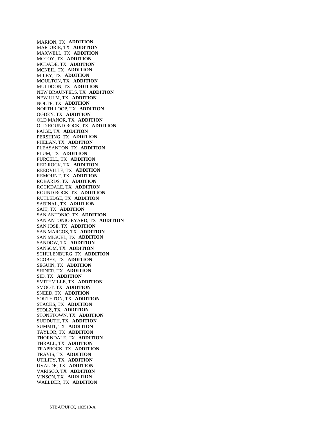MARION, TX **ADDITION**  MARJORIE, TX **ADDITION**  MAXWELL, TX **ADDITION**  MCCOY, TX **ADDITION**  MCDADE, TX **ADDITION**  MCNEIL, TX **ADDITION**  MILBY, TX **ADDITION**  MOULTON, TX **ADDITION**  MULDOON, TX **ADDITION**  NEW BRAUNFELS, TX **ADDITION**  NEW ULM, TX **ADDITION**  NOLTE, TX **ADDITION**  NORTH LOOP, TX **ADDITION**  OGDEN, TX **ADDITION**  OLD MANOR, TX **ADDITION**  OLD ROUND ROCK, TX **ADDITION**  PAIGE, TX **ADDITION**  PERSHING, TX **ADDITION**  PHELAN, TX **ADDITION**  PLEASANTON, TX **ADDITION**  PLUM, TX **ADDITION**  PURCELL, TX **ADDITION**  RED ROCK, TX **ADDITION**  REEDVILLE, TX **ADDITION**  REMOUNT, TX **ADDITION**  ROBARDS, TX **ADDITION**  ROCKDALE, TX **ADDITION**  ROUND ROCK, TX **ADDITION**  RUTLEDGE, TX **ADDITION**  SABINAL, TX **ADDITION**  SAIT, TX **ADDITION**  SAN ANTONIO, TX **ADDITION**  SAN ANTONIO EYARD, TX **ADDITION**  SAN JOSE, TX **ADDITION**  SAN MARCOS, TX **ADDITION**  SAN MIGUEL, TX **ADDITION**  SANDOW, TX **ADDITION**  SANSOM, TX **ADDITION**  SCHULENBURG, TX **ADDITION**  SCOBEE, TX **ADDITION**  SEGUIN, TX **ADDITION**  SHINER, TX **ADDITION**  SID, TX **ADDITION**  SMITHVILLE, TX **ADDITION**  SMOOT, TX **ADDITION**  SNEED, TX **ADDITION**  SOUTHTON, TX **ADDITION**  STACKS, TX **ADDITION**  STOLZ, TX **ADDITION**  STONETOWN, TX **ADDITION**  SUDDUTH, TX **ADDITION**  SUMMIT, TX **ADDITION**  TAYLOR, TX **ADDITION**  THORNDALE, TX **ADDITION**  THRALL, TX **ADDITION**  TRAPROCK, TX **ADDITION**  TRAVIS, TX **ADDITION**  UTILITY, TX **ADDITION**  UVALDE, TX **ADDITION**  VARISCO, TX **ADDITION**  VINSON, TX **ADDITION**  WAELDER, TX **ADDITION**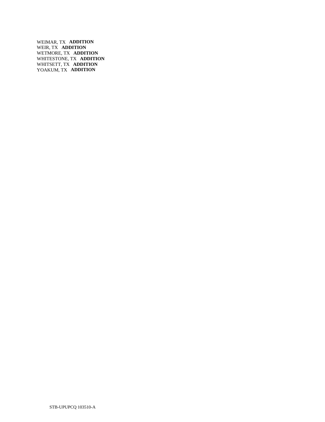WEIMAR, TX **ADDITION**  WEIR, TX **ADDITION**  WETMORE, TX **ADDITION**  WHITESTONE, TX **ADDITION**  WHITSETT, TX **ADDITION**  YOAKUM, TX **ADDITION**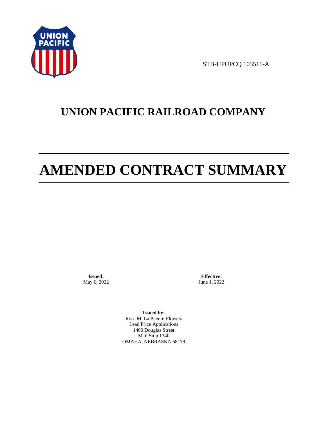

STB-UPUPCQ 103511-A

# **UNION PACIFIC RAILROAD COMPANY**

# **AMENDED CONTRACT SUMMARY**

**Issued:**  May 6, 2022

**Effective:** June 1, 2022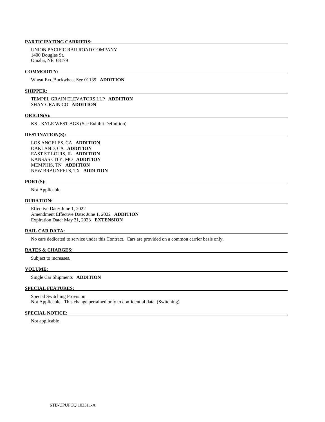UNION PACIFIC RAILROAD COMPANY 1400 Douglas St. Omaha, NE 68179

#### **COMMODITY:**

Wheat Exc.Buckwheat See 01139 **ADDITION** 

#### **SHIPPER:**

 TEMPEL GRAIN ELEVATORS LLP **ADDITION**  SHAY GRAIN CO **ADDITION** 

#### **ORIGIN(S):**

KS - KYLE WEST AGS (See Exhibit Definition)

#### **DESTINATION(S):**

 LOS ANGELES, CA **ADDITION**  OAKLAND, CA **ADDITION**  EAST ST LOUIS, IL **ADDITION**  KANSAS CITY, MO **ADDITION**  MEMPHIS, TN **ADDITION**  NEW BRAUNFELS, TX **ADDITION** 

# **PORT(S):**

Not Applicable

#### **DURATION:**

 Effective Date: June 1, 2022 Amendment Effective Date: June 1, 2022 **ADDITION**  Expiration Date: May 31, 2023 **EXTENSION** 

### **RAIL CAR DATA:**

No cars dedicated to service under this Contract. Cars are provided on a common carrier basis only.

# **RATES & CHARGES:**

Subject to increases.

# **VOLUME:**

Single Car Shipments **ADDITION** 

# **SPECIAL FEATURES:**

 Special Switching Provision Not Applicable. This change pertained only to confidential data. (Switching)

# **SPECIAL NOTICE:**